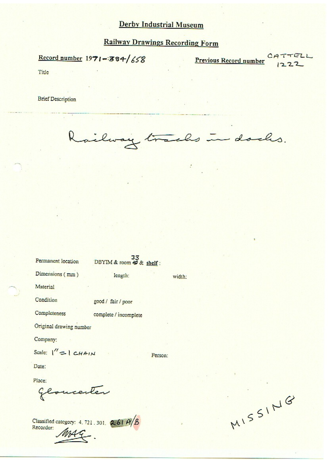### **Derby Industrial Museum**

## **Railway Drawings Recording Form**

Record number  $1971 - 384/658$ 

Previous Record number

TELL

Title

**Brief Description** 

ailway in dachs. trachs

width:

Person:

Permanent location

DBYIM & room # & shelf:

length:

Dimensions (mm)

Material

Condition good / fair / poor

Completeness complete / incomplete

Original drawing number

Company:

Scale:  $\vert' \rangle = \vert CHA \vert M$ 

Date:

Place:

Gloucester

Classified category: 4, 721, 301, 261 A/B Recorder:

MISSING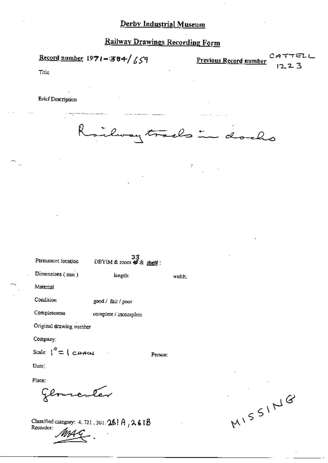# **Railway Drawings Recording Form**

Record number  $1971 - 384 / 659$ 

⊤∈∟∟ Previous Record number 3 **7** 

Title

**Brief Description** 



 $\cdot$ 

width:

Person:

| Permanent focation | 33<br>DBYIM & room $\blacktriangleleft \mathcal{R}$ shelf: |
|--------------------|------------------------------------------------------------|
| Dimensions $(mn)$  | length:                                                    |

Material

Condition good / fair / poor

Completeness complete / incomplete

Original drawing number

Company:

Scale:  $\int_1^{\gamma}$  =  $\int$   $CHAM$ 

Date:

Place: enter

Classified category: 4, 721, 301, 26 | A  $_1$  2.6 | B<br>Recorder:

MISSING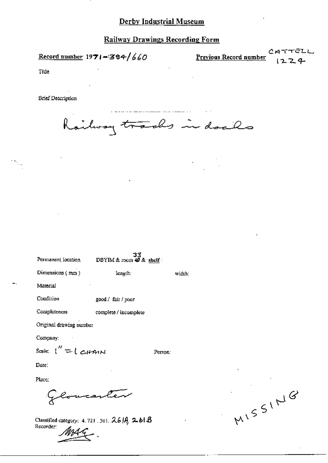#### Derby Industrial Museum

**Railway Drawings Recording Form** 

Record number  $1971 - 384/660$ 

<u>Previous Record number</u>

TTELL CА 224

Tide

**Brief Description** 

Railway trades in dacks

| Permanent focation      | DBYIM & room $\overline{\mathcal{Q}}$ & shelf: |         |  |
|-------------------------|------------------------------------------------|---------|--|
| Dimensions (mm)         | length:                                        | width:  |  |
| Material                |                                                |         |  |
| Condition               | good / fair / poor                             |         |  |
| Completeness            | complete / incomplete                          |         |  |
| Original drawing number |                                                |         |  |
| Company:                |                                                |         |  |
| Scale: ("={CHAN         |                                                | Person: |  |
| Date:                   |                                                |         |  |
| Place:                  |                                                |         |  |
|                         |                                                |         |  |

Classified category: 4, 721, 301,  $2.6$   $\beta$ ,  $2.61$   $\beta$ Recorder:

MISSING